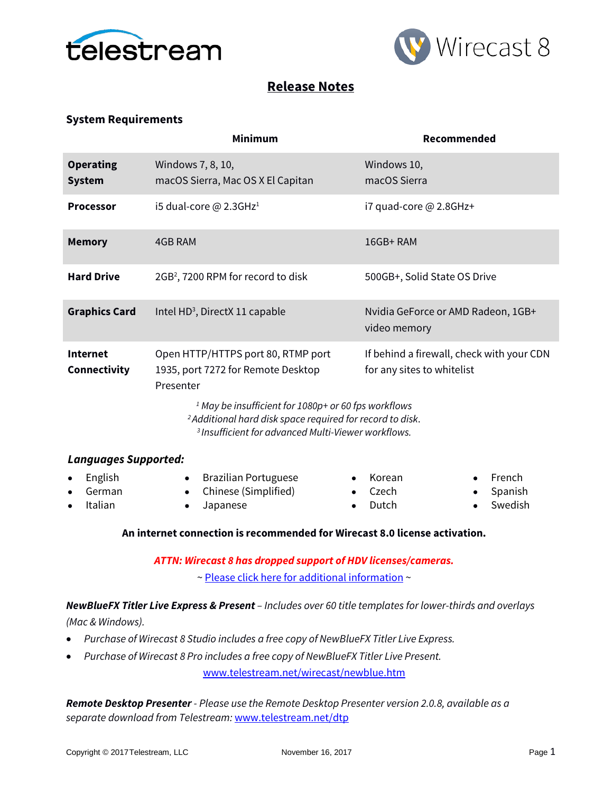



# **Release Notes**

## **System Requirements**

|                                   | <b>Minimum</b>                                                                                                                                                                                                                                                                                                                                                                | Recommended                                        |  |
|-----------------------------------|-------------------------------------------------------------------------------------------------------------------------------------------------------------------------------------------------------------------------------------------------------------------------------------------------------------------------------------------------------------------------------|----------------------------------------------------|--|
| <b>Operating</b><br><b>System</b> | Windows 7, 8, 10,<br>macOS Sierra, Mac OS X El Capitan                                                                                                                                                                                                                                                                                                                        | Windows 10,<br>macOS Sierra                        |  |
| <b>Processor</b>                  | i5 dual-core $@$ 2.3GHz <sup>1</sup>                                                                                                                                                                                                                                                                                                                                          | i7 quad-core @ 2.8GHz+                             |  |
| <b>Memory</b>                     | <b>4GB RAM</b>                                                                                                                                                                                                                                                                                                                                                                | 16GB+RAM                                           |  |
| <b>Hard Drive</b>                 | 2GB <sup>2</sup> , 7200 RPM for record to disk                                                                                                                                                                                                                                                                                                                                | 500GB+, Solid State OS Drive                       |  |
| <b>Graphics Card</b>              | Intel HD <sup>3</sup> , DirectX 11 capable                                                                                                                                                                                                                                                                                                                                    | Nvidia GeForce or AMD Radeon, 1GB+<br>video memory |  |
| <b>Internet</b><br>Connectivity   | Open HTTP/HTTPS port 80, RTMP port<br>If behind a firewall, check with your CDN<br>1935, port 7272 for Remote Desktop<br>for any sites to whitelist<br>Presenter<br><sup>1</sup> May be insufficient for 1080p+ or 60 fps workflows<br><sup>2</sup> Additional hard disk space required for record to disk.<br><sup>3</sup> Insufficient for advanced Multi-Viewer workflows. |                                                    |  |
| <b>Languages Supported:</b>       |                                                                                                                                                                                                                                                                                                                                                                               |                                                    |  |
| English<br>German                 | <b>Brazilian Portuguese</b><br>$\bullet$<br>Chinese (Simplified)                                                                                                                                                                                                                                                                                                              | French<br>Korean<br>Czech<br>Spanish               |  |

• Italian

• Chinese (Simplified) • Japanese

- Czech • Dutch
- Spanish
- **Swedish**

## **An internet connection is recommended for Wirecast 8.0 license activation.**

*ATTN: Wirecast 8 has dropped support of HDV licenses/cameras.* 

~ [Please click here for additional information](http://www.telestream.net/telestream-support/wire-cast/faq.htm?kbURL=http://telestream.force.com/kb/articles/Knowledge_Article/Wirecast-HDV-Firewire-No-longer-Supported/) ~

*NewBlueFX Titler Live Express & Present – Includes over 60 title templates for lower-thirds and overlays* 

*(Mac & Windows).*

- *Purchase of Wirecast 8 Studio includes a free copy of NewBlueFX Titler Live Express.*
- *Purchase of Wirecast 8 Pro includes a free copy of NewBlueFX Titler Live Present.*

[www.telestream.net/wirecast/newblue.htm](http://www.telestream.net/wirecast/newblue.htm)

*Remote Desktop Presenter - Please use the Remote Desktop Presenter version 2.0.8, available as a separate download from Telestream:* [www.telestream.net/dtp](http://www.telestream.net/dtp)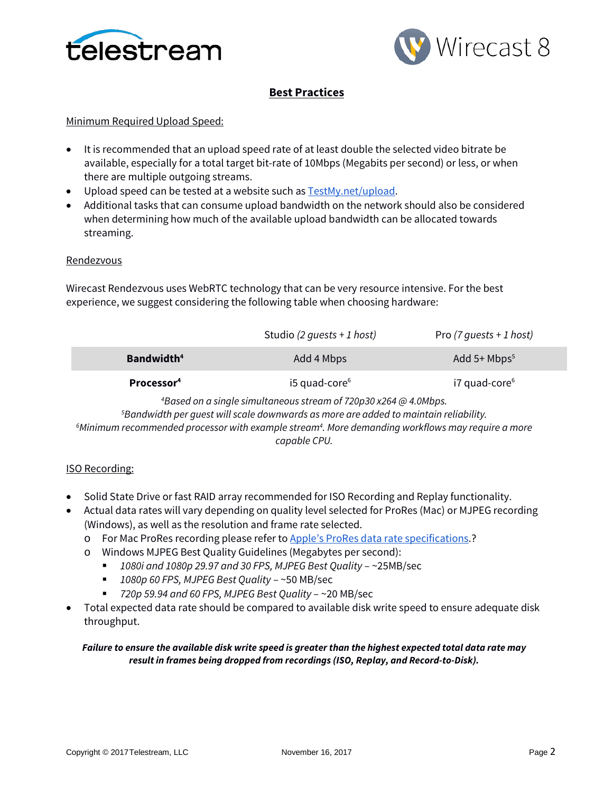



# **Best Practices**

## Minimum Required Upload Speed:

- It is recommended that an upload speed rate of at least double the selected video bitrate be available, especially for a total target bit-rate of 10Mbps (Megabits per second) or less, or when there are multiple outgoing streams.
- Upload speed can be tested at a website such as **TestMy.net/upload**.
- Additional tasks that can consume upload bandwidth on the network should also be considered when determining how much of the available upload bandwidth can be allocated towards streaming.

## **Rendezvous**

Wirecast Rendezvous uses WebRTC technology that can be very resource intensive. For the best experience, we suggest considering the following table when choosing hardware:

|                                                                             | Studio (2 quests + 1 host)  | Pro $(7 \text{ quests + 1 host)$ |  |  |
|-----------------------------------------------------------------------------|-----------------------------|----------------------------------|--|--|
| <b>Bandwidth</b> <sup>4</sup>                                               | Add 4 Mbps                  | Add $5+$ Mbps <sup>5</sup>       |  |  |
| Processor <sup>4</sup>                                                      | $i5$ quad-core <sup>6</sup> | $i7$ quad-core $6$               |  |  |
| <sup>4</sup> Based on a single simultaneous stream of 720p30 x264 @ 4 0Mbps |                             |                                  |  |  |

*Based on a single simultaneous stream of 720p30 x264 @ 4.0Mbps. 5 Bandwidth per guest will scale downwards as more are added to maintain reliability. 6 Minimum recommended processor with example stream4 . More demanding workflows may require a more capable CPU.*

## ISO Recording:

- Solid State Drive or fast RAID array recommended for ISO Recording and Replay functionality.
- Actual data rates will vary depending on quality level selected for ProRes (Mac) or MJPEG recording (Windows), as well as the resolution and frame rate selected.
	- o For Mac ProRes recording please refer t[o Apple's ProRes data rate specifications.](https://documentation.apple.com/en/finalcutpro/professionalformatsandworkflows/index.html)?
	- o Windows MJPEG Best Quality Guidelines (Megabytes per second):
		- *1080i and 1080p 29.97 and 30 FPS, MJPEG Best Quality* ~25MB/sec
		- *1080p 60 FPS, MJPEG Best Quality* ~50 MB/sec
		- *720p 59.94 and 60 FPS, MJPEG Best Quality* ~20 MB/sec
- Total expected data rate should be compared to available disk write speed to ensure adequate disk throughput.

## *Failure to ensure the available disk write speed is greater than the highest expected total data rate may result in frames being dropped from recordings (ISO, Replay, and Record-to-Disk).*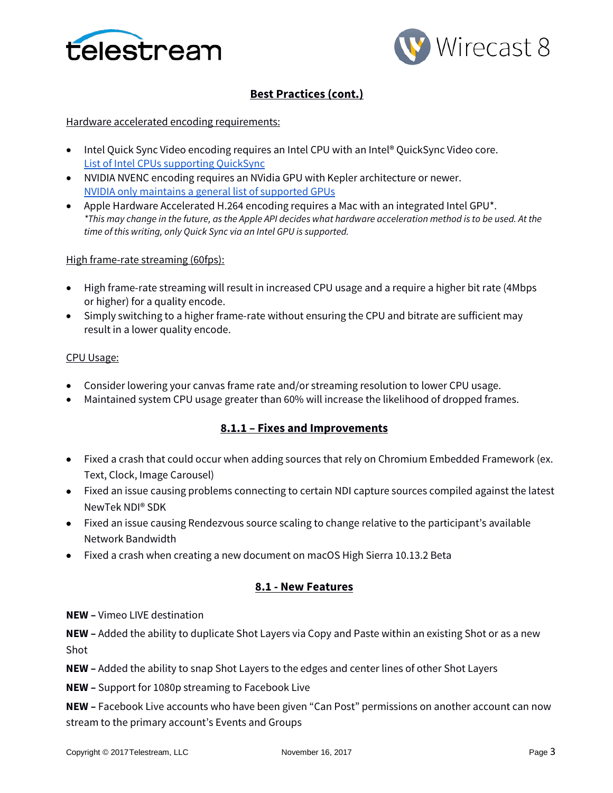



# **Best Practices (cont.)**

## Hardware accelerated encoding requirements:

- Intel Quick Sync Video encoding requires an Intel CPU with an Intel® QuickSync Video core[.](http://ark.intel.com/search/advanced?QuickSyncVideo=true&MarketSegment=DT) [List of Intel CPUs supporting QuickSync](http://ark.intel.com/search/advanced?QuickSyncVideo=true&MarketSegment=DT)
- NVIDIA NVENC encoding requires an NVidia GPU with Kepler architecture or newer[.](https://developer.nvidia.com/nvidia-video-codec-sdk) [NVIDIA only maintains a general list of supported GPUs](https://developer.nvidia.com/nvidia-video-codec-sdk)
- Apple Hardware Accelerated H.264 encoding requires a Mac with an integrated Intel GPU\*. *\*This may change in the future, as the Apple API decides what hardware acceleration method is to be used. At the time of this writing, only Quick Sync via an Intel GPU is supported.*

## High frame-rate streaming (60fps):

- High frame-rate streaming will result in increased CPU usage and a require a higher bit rate (4Mbps or higher) for a quality encode.
- Simply switching to a higher frame-rate without ensuring the CPU and bitrate are sufficient may result in a lower quality encode.

## CPU Usage:

- Consider lowering your canvas frame rate and/or streaming resolution to lower CPU usage.
- Maintained system CPU usage greater than 60% will increase the likelihood of dropped frames.

## **8.1.1 – Fixes and Improvements**

- Fixed a crash that could occur when adding sources that rely on Chromium Embedded Framework (ex. Text, Clock, Image Carousel)
- Fixed an issue causing problems connecting to certain NDI capture sources compiled against the latest NewTek NDI® SDK
- Fixed an issue causing Rendezvous source scaling to change relative to the participant's available Network Bandwidth
- Fixed a crash when creating a new document on macOS High Sierra 10.13.2 Beta

## **8.1 - New Features**

**NEW –** Vimeo LIVE destination

**NEW –** Added the ability to duplicate Shot Layers via Copy and Paste within an existing Shot or as a new Shot

**NEW –** Added the ability to snap Shot Layers to the edges and center lines of other Shot Layers

**NEW –** Support for 1080p streaming to Facebook Live

**NEW –** Facebook Live accounts who have been given "Can Post" permissions on another account can now stream to the primary account's Events and Groups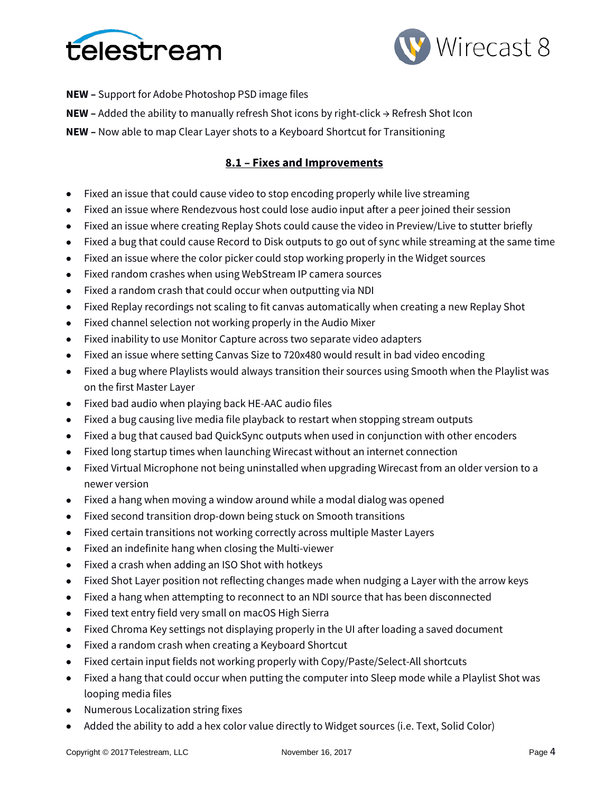



**NEW –** Support for Adobe Photoshop PSD image files

**NEW –** Added the ability to manually refresh Shot icons by right-click → Refresh Shot Icon

**NEW –** Now able to map Clear Layer shots to a Keyboard Shortcut for Transitioning

## **8.1 – Fixes and Improvements**

- Fixed an issue that could cause video to stop encoding properly while live streaming
- Fixed an issue where Rendezvous host could lose audio input after a peer joined their session
- Fixed an issue where creating Replay Shots could cause the video in Preview/Live to stutter briefly
- Fixed a bug that could cause Record to Disk outputs to go out of sync while streaming at the same time
- Fixed an issue where the color picker could stop working properly in the Widget sources
- Fixed random crashes when using WebStream IP camera sources
- Fixed a random crash that could occur when outputting via NDI
- Fixed Replay recordings not scaling to fit canvas automatically when creating a new Replay Shot
- Fixed channel selection not working properly in the Audio Mixer
- Fixed inability to use Monitor Capture across two separate video adapters
- Fixed an issue where setting Canvas Size to 720x480 would result in bad video encoding
- Fixed a bug where Playlists would always transition their sources using Smooth when the Playlist was on the first Master Layer
- Fixed bad audio when playing back HE-AAC audio files
- Fixed a bug causing live media file playback to restart when stopping stream outputs
- Fixed a bug that caused bad QuickSync outputs when used in conjunction with other encoders
- Fixed long startup times when launching Wirecast without an internet connection
- Fixed Virtual Microphone not being uninstalled when upgrading Wirecast from an older version to a newer version
- Fixed a hang when moving a window around while a modal dialog was opened
- Fixed second transition drop-down being stuck on Smooth transitions
- Fixed certain transitions not working correctly across multiple Master Layers
- Fixed an indefinite hang when closing the Multi-viewer
- Fixed a crash when adding an ISO Shot with hotkeys
- Fixed Shot Layer position not reflecting changes made when nudging a Layer with the arrow keys
- Fixed a hang when attempting to reconnect to an NDI source that has been disconnected
- Fixed text entry field very small on macOS High Sierra
- Fixed Chroma Key settings not displaying properly in the UI after loading a saved document
- Fixed a random crash when creating a Keyboard Shortcut
- Fixed certain input fields not working properly with Copy/Paste/Select-All shortcuts
- Fixed a hang that could occur when putting the computer into Sleep mode while a Playlist Shot was looping media files
- Numerous Localization string fixes
- Added the ability to add a hex color value directly to Widget sources (i.e. Text, Solid Color)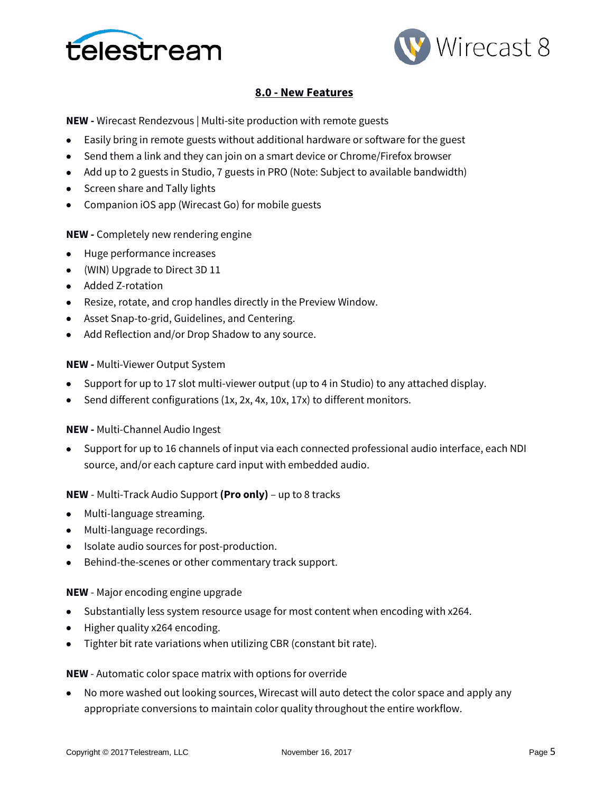



## **8.0 - New Features**

**NEW -** Wirecast Rendezvous | Multi-site production with remote guests

- Easily bring in remote guests without additional hardware or software for the guest
- Send them a link and they can join on a smart device or Chrome/Firefox browser
- Add up to 2 guests in Studio, 7 guests in PRO (Note: Subject to available bandwidth)
- Screen share and Tally lights
- Companion iOS app (Wirecast Go) for mobile guests

## **NEW -** Completely new rendering engine

- Huge performance increases
- (WIN) Upgrade to Direct 3D 11
- Added Z-rotation
- Resize, rotate, and crop handles directly in the Preview Window.
- Asset Snap-to-grid, Guidelines, and Centering.
- Add Reflection and/or Drop Shadow to any source.

#### **NEW -** Multi-Viewer Output System

- Support for up to 17 slot multi-viewer output (up to 4 in Studio) to any attached display.
- Send different configurations (1x, 2x, 4x, 10x, 17x) to different monitors.

## **NEW -** Multi-Channel Audio Ingest

• Support for up to 16 channels of input via each connected professional audio interface, each NDI source, and/or each capture card input with embedded audio.

#### **NEW** - Multi-Track Audio Support **(Pro only)** – up to 8 tracks

- Multi-language streaming.
- Multi-language recordings.
- Isolate audio sources for post-production.
- Behind-the-scenes or other commentary track support.

#### **NEW** - Major encoding engine upgrade

- Substantially less system resource usage for most content when encoding with x264.
- Higher quality x264 encoding.
- Tighter bit rate variations when utilizing CBR (constant bit rate).

#### **NEW** - Automatic color space matrix with options for override

• No more washed out looking sources, Wirecast will auto detect the color space and apply any appropriate conversions to maintain color quality throughout the entire workflow.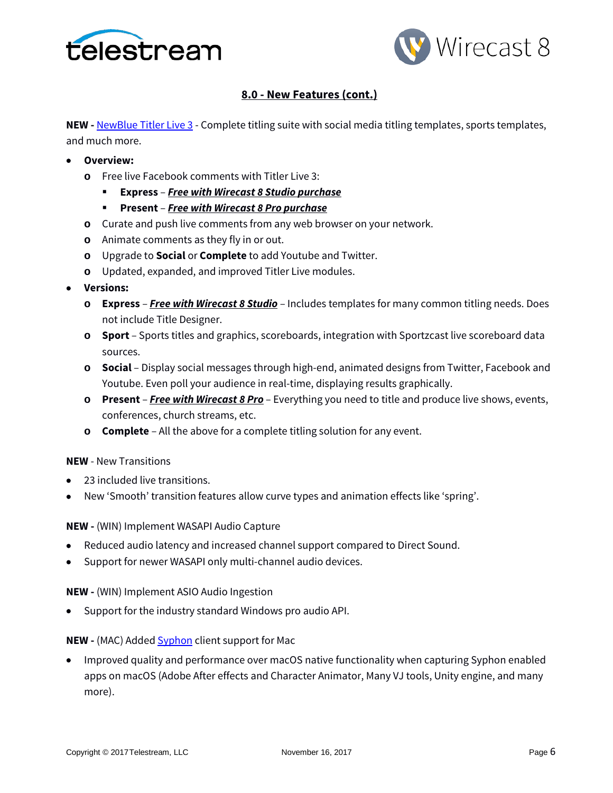



# **8.0 - New Features (cont.)**

**NEW** - **[NewBlue Titler Live 3](https://www.newbluefx.com/products/on-air-graphics/titler-live/)** - Complete titling suite with social media titling templates, sports templates, and much more.

- **Overview:**
	- **o** Free live Facebook comments with Titler Live 3:
		- **Express**  *Free with Wirecast 8 Studio purchase*
		- **Present** *Free with Wirecast 8 Pro purchase*
	- **o** Curate and push live comments from any web browser on your network.
	- **o** Animate comments as they fly in or out.
	- **o** Upgrade to **Social** or **Complete** to add Youtube and Twitter.
	- **o** Updated, expanded, and improved Titler Live modules.
- **Versions:**
	- **o Express**  *Free with Wirecast 8 Studio* Includes templates for many common titling needs. Does not include Title Designer.
	- **o Sport** Sports titles and graphics, scoreboards, integration with Sportzcast live scoreboard data sources.
	- **o Social** Display social messages through high-end, animated designs from Twitter, Facebook and Youtube. Even poll your audience in real-time, displaying results graphically.
	- **o Present** *Free with Wirecast 8 Pro* Everything you need to title and produce live shows, events, conferences, church streams, etc.
	- **o Complete** All the above for a complete titling solution for any event.

## **NEW** - New Transitions

- 23 included live transitions.
- New 'Smooth' transition features allow curve types and animation effects like 'spring'.

**NEW -** (WIN) Implement WASAPI Audio Capture

- Reduced audio latency and increased channel support compared to Direct Sound.
- Support for newer WASAPI only multi-channel audio devices.

**NEW -** (WIN) Implement ASIO Audio Ingestion

• Support for the industry standard Windows pro audio API.

## **NEW -** (MAC) Added **Syphon** client support for Mac

• Improved quality and performance over macOS native functionality when capturing Syphon enabled apps on macOS (Adobe After effects and Character Animator, Many VJ tools, Unity engine, and many more).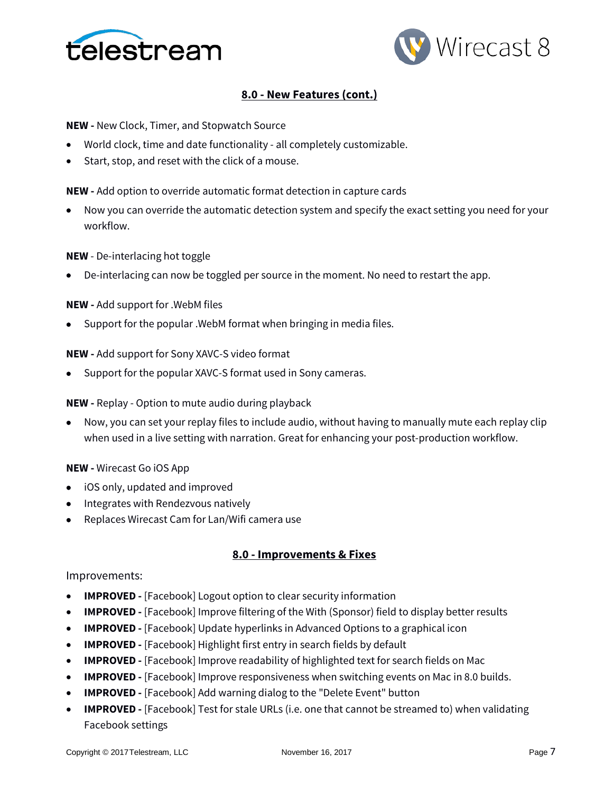



## **8.0 - New Features (cont.)**

**NEW -** New Clock, Timer, and Stopwatch Source

- World clock, time and date functionality all completely customizable.
- Start, stop, and reset with the click of a mouse.

**NEW -** Add option to override automatic format detection in capture cards

• Now you can override the automatic detection system and specify the exact setting you need for your workflow.

#### **NEW** - De-interlacing hot toggle

• De-interlacing can now be toggled per source in the moment. No need to restart the app.

#### **NEW -** Add support for .WebM files

• Support for the popular .WebM format when bringing in media files.

#### **NEW -** Add support for Sony XAVC-S video format

• Support for the popular XAVC-S format used in Sony cameras.

#### **NEW -** Replay - Option to mute audio during playback

• Now, you can set your replay files to include audio, without having to manually mute each replay clip when used in a live setting with narration. Great for enhancing your post-production workflow.

#### **NEW -** Wirecast Go iOS App

- iOS only, updated and improved
- Integrates with Rendezvous natively
- Replaces Wirecast Cam for Lan/Wifi camera use

#### **8.0 - Improvements & Fixes**

#### Improvements:

- **IMPROVED -** [Facebook] Logout option to clear security information
- **IMPROVED -** [Facebook] Improve filtering of the With (Sponsor) field to display better results
- **IMPROVED -** [Facebook] Update hyperlinks in Advanced Options to a graphical icon
- **IMPROVED -** [Facebook] Highlight first entry in search fields by default
- **IMPROVED -** [Facebook] Improve readability of highlighted text for search fields on Mac
- **IMPROVED -** [Facebook] Improve responsiveness when switching events on Mac in 8.0 builds.
- **IMPROVED -** [Facebook] Add warning dialog to the "Delete Event" button
- **IMPROVED -** [Facebook] Test for stale URLs (i.e. one that cannot be streamed to) when validating Facebook settings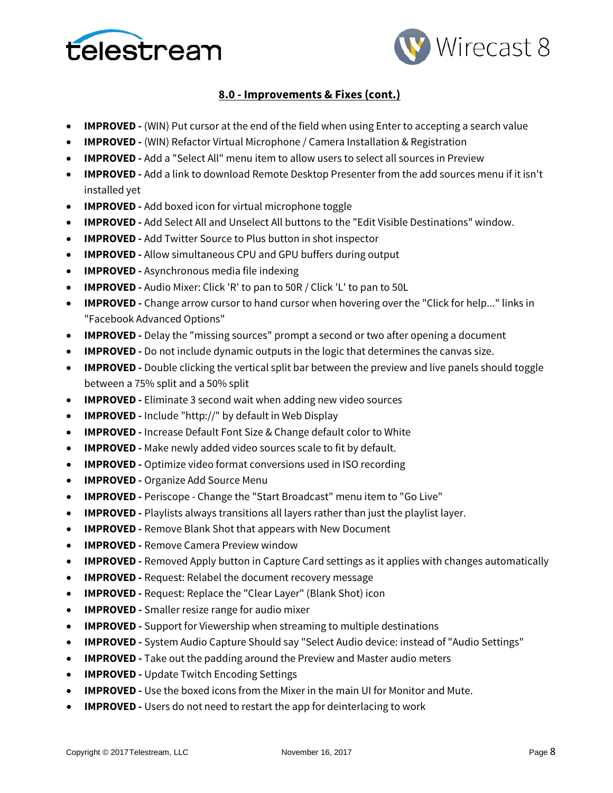



- **IMPROVED -** (WIN) Put cursor at the end of the field when using Enter to accepting a search value
- **IMPROVED -** (WIN) Refactor Virtual Microphone / Camera Installation & Registration
- **IMPROVED -** Add a "Select All" menu item to allow users to select all sources in Preview
- **IMPROVED -** Add a link to download Remote Desktop Presenter from the add sources menu if it isn't installed yet
- **IMPROVED -** Add boxed icon for virtual microphone toggle
- **IMPROVED -** Add Select All and Unselect All buttons to the "Edit Visible Destinations" window.
- **IMPROVED -** Add Twitter Source to Plus button in shot inspector
- **IMPROVED -** Allow simultaneous CPU and GPU buffers during output
- **IMPROVED -** Asynchronous media file indexing
- **IMPROVED -** Audio Mixer: Click 'R' to pan to 50R / Click 'L' to pan to 50L
- **IMPROVED -** Change arrow cursor to hand cursor when hovering over the "Click for help..." links in "Facebook Advanced Options"
- **IMPROVED -** Delay the "missing sources" prompt a second or two after opening a document
- **IMPROVED -** Do not include dynamic outputs in the logic that determines the canvas size.
- **IMPROVED -** Double clicking the vertical split bar between the preview and live panels should toggle between a 75% split and a 50% split
- **IMPROVED -** Eliminate 3 second wait when adding new video sources
- **IMPROVED -** Include "http://" by default in Web Display
- **IMPROVED -** Increase Default Font Size & Change default color to White
- **IMPROVED** Make newly added video sources scale to fit by default.
- **IMPROVED -** Optimize video format conversions used in ISO recording
- **IMPROVED -** Organize Add Source Menu
- **IMPROVED -** Periscope Change the "Start Broadcast" menu item to "Go Live"
- **IMPROVED -** Playlists always transitions all layers rather than just the playlist layer.
- **IMPROVED -** Remove Blank Shot that appears with New Document
- **IMPROVED -** Remove Camera Preview window
- **IMPROVED -** Removed Apply button in Capture Card settings as it applies with changes automatically
- **IMPROVED** Request: Relabel the document recovery message
- **IMPROVED -** Request: Replace the "Clear Layer" (Blank Shot) icon
- **IMPROVED -** Smaller resize range for audio mixer
- **IMPROVED -** Support for Viewership when streaming to multiple destinations
- **IMPROVED -** System Audio Capture Should say "Select Audio device: instead of "Audio Settings"
- **IMPROVED -** Take out the padding around the Preview and Master audio meters
- **IMPROVED -** Update Twitch Encoding Settings
- **IMPROVED -** Use the boxed icons from the Mixer in the main UI for Monitor and Mute.
- **IMPROVED** Users do not need to restart the app for deinterlacing to work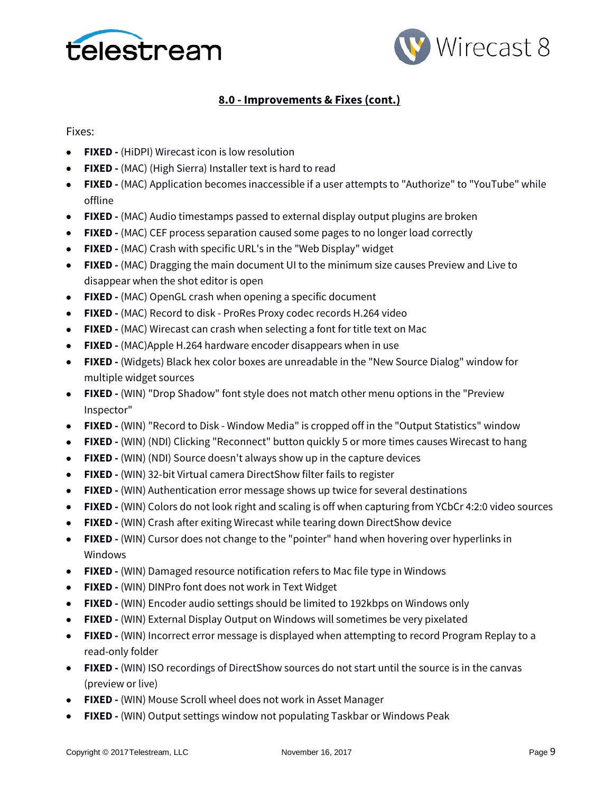



Fixes:

- **FIXED -** (HiDPI) Wirecast icon is low resolution
- **FIXED -** (MAC) (High Sierra) Installer text is hard to read
- **FIXED -** (MAC) Application becomes inaccessible if a user attempts to "Authorize" to "YouTube" while offline
- **FIXED -** (MAC) Audio timestamps passed to external display output plugins are broken
- **FIXED -** (MAC) CEF process separation caused some pages to no longer load correctly
- **FIXED -** (MAC) Crash with specific URL's in the "Web Display" widget
- **FIXED -** (MAC) Dragging the main document UI to the minimum size causes Preview and Live to disappear when the shot editor is open
- **FIXED -** (MAC) OpenGL crash when opening a specific document
- **FIXED -** (MAC) Record to disk ProRes Proxy codec records H.264 video
- **FIXED -** (MAC) Wirecast can crash when selecting a font for title text on Mac
- **FIXED -** (MAC)Apple H.264 hardware encoder disappears when in use
- **FIXED -** (Widgets) Black hex color boxes are unreadable in the "New Source Dialog" window for multiple widget sources
- **FIXED -** (WIN) "Drop Shadow" font style does not match other menu options in the "Preview Inspector"
- **FIXED -** (WIN) "Record to Disk Window Media" is cropped off in the "Output Statistics" window
- **FIXED -** (WIN) (NDI) Clicking "Reconnect" button quickly 5 or more times causes Wirecast to hang
- **FIXED -** (WIN) (NDI) Source doesn't always show up in the capture devices
- **FIXED -** (WIN) 32-bit Virtual camera DirectShow filter fails to register
- **FIXED -** (WIN) Authentication error message shows up twice for several destinations
- **FIXED -** (WIN) Colors do not look right and scaling is off when capturing from YCbCr 4:2:0 video sources
- **FIXED -** (WIN) Crash after exiting Wirecast while tearing down DirectShow device
- **FIXED -** (WIN) Cursor does not change to the "pointer" hand when hovering over hyperlinks in Windows
- **FIXED -** (WIN) Damaged resource notification refers to Mac file type in Windows
- **FIXED -** (WIN) DINPro font does not work in Text Widget
- **FIXED -** (WIN) Encoder audio settings should be limited to 192kbps on Windows only
- **FIXED -** (WIN) External Display Output on Windows will sometimes be very pixelated
- **FIXED -** (WIN) Incorrect error message is displayed when attempting to record Program Replay to a read-only folder
- **FIXED -** (WIN) ISO recordings of DirectShow sources do not start until the source is in the canvas (preview or live)
- **FIXED -** (WIN) Mouse Scroll wheel does not work in Asset Manager
- **FIXED -** (WIN) Output settings window not populating Taskbar or Windows Peak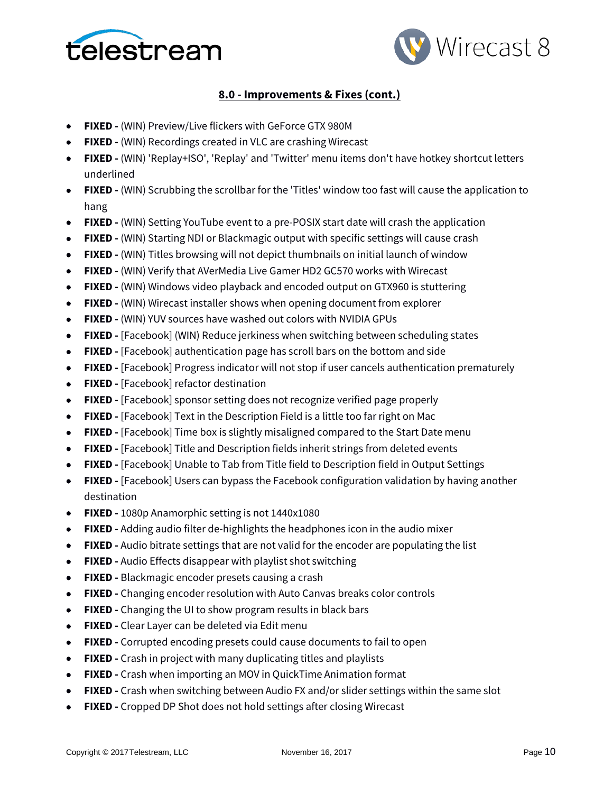



- **FIXED -** (WIN) Preview/Live flickers with GeForce GTX 980M
- **FIXED -** (WIN) Recordings created in VLC are crashing Wirecast
- **FIXED -** (WIN) 'Replay+ISO', 'Replay' and 'Twitter' menu items don't have hotkey shortcut letters underlined
- **FIXED -** (WIN) Scrubbing the scrollbar for the 'Titles' window too fast will cause the application to hang
- **FIXED -** (WIN) Setting YouTube event to a pre-POSIX start date will crash the application
- **FIXED -** (WIN) Starting NDI or Blackmagic output with specific settings will cause crash
- **FIXED -** (WIN) Titles browsing will not depict thumbnails on initial launch of window
- **FIXED -** (WIN) Verify that AVerMedia Live Gamer HD2 GC570 works with Wirecast
- **FIXED -** (WIN) Windows video playback and encoded output on GTX960 is stuttering
- **FIXED -** (WIN) Wirecast installer shows when opening document from explorer
- **FIXED -** (WIN) YUV sources have washed out colors with NVIDIA GPUs
- **FIXED -** [Facebook] (WIN) Reduce jerkiness when switching between scheduling states
- **FIXED -** [Facebook] authentication page has scroll bars on the bottom and side
- **FIXED -** [Facebook] Progress indicator will not stop if user cancels authentication prematurely
- **FIXED -** [Facebook] refactor destination
- **FIXED -** [Facebook] sponsor setting does not recognize verified page properly
- **FIXED -** [Facebook] Text in the Description Field is a little too far right on Mac
- **FIXED -** [Facebook] Time box is slightly misaligned compared to the Start Date menu
- **FIXED -** [Facebook] Title and Description fields inherit strings from deleted events
- **FIXED -** [Facebook] Unable to Tab from Title field to Description field in Output Settings
- **FIXED -** [Facebook] Users can bypass the Facebook configuration validation by having another destination
- **FIXED -** 1080p Anamorphic setting is not 1440x1080
- **FIXED -** Adding audio filter de-highlights the headphones icon in the audio mixer
- **FIXED -** Audio bitrate settings that are not valid for the encoder are populating the list
- **FIXED -** Audio Effects disappear with playlist shot switching
- **FIXED -** Blackmagic encoder presets causing a crash
- **FIXED -** Changing encoder resolution with Auto Canvas breaks color controls
- **FIXED -** Changing the UI to show program results in black bars
- **FIXED -** Clear Layer can be deleted via Edit menu
- **FIXED -** Corrupted encoding presets could cause documents to fail to open
- **FIXED -** Crash in project with many duplicating titles and playlists
- **FIXED -** Crash when importing an MOV in QuickTime Animation format
- **FIXED -** Crash when switching between Audio FX and/or slider settings within the same slot
- **FIXED -** Cropped DP Shot does not hold settings after closing Wirecast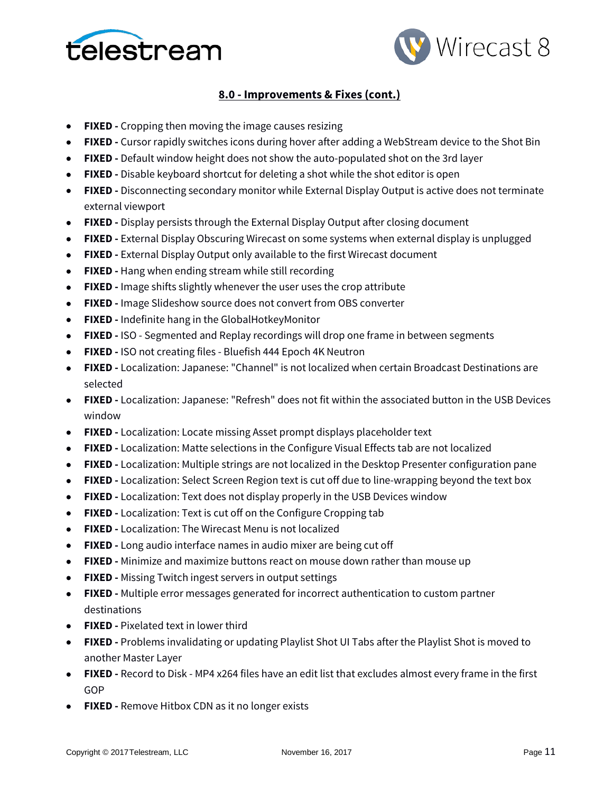



- **FIXED -** Cropping then moving the image causes resizing
- **FIXED -** Cursor rapidly switches icons during hover after adding a WebStream device to the Shot Bin
- **FIXED -** Default window height does not show the auto-populated shot on the 3rd layer
- **FIXED -** Disable keyboard shortcut for deleting a shot while the shot editor is open
- **FIXED -** Disconnecting secondary monitor while External Display Output is active does not terminate external viewport
- **FIXED -** Display persists through the External Display Output after closing document
- **FIXED -** External Display Obscuring Wirecast on some systems when external display is unplugged
- **FIXED -** External Display Output only available to the first Wirecast document
- **FIXED -** Hang when ending stream while still recording
- **FIXED -** Image shifts slightly whenever the user uses the crop attribute
- **FIXED -** Image Slideshow source does not convert from OBS converter
- **FIXED -** Indefinite hang in the GlobalHotkeyMonitor
- **FIXED -** ISO Segmented and Replay recordings will drop one frame in between segments
- **FIXED -** ISO not creating files Bluefish 444 Epoch 4K Neutron
- **FIXED -** Localization: Japanese: "Channel" is not localized when certain Broadcast Destinations are selected
- **FIXED -** Localization: Japanese: "Refresh" does not fit within the associated button in the USB Devices window
- **FIXED -** Localization: Locate missing Asset prompt displays placeholder text
- **FIXED -** Localization: Matte selections in the Configure Visual Effects tab are not localized
- **FIXED -** Localization: Multiple strings are not localized in the Desktop Presenter configuration pane
- **FIXED -** Localization: Select Screen Region text is cut off due to line-wrapping beyond the text box
- **FIXED -** Localization: Text does not display properly in the USB Devices window
- **FIXED -** Localization: Text is cut off on the Configure Cropping tab
- **FIXED -** Localization: The Wirecast Menu is not localized
- **FIXED -** Long audio interface names in audio mixer are being cut off
- **FIXED -** Minimize and maximize buttons react on mouse down rather than mouse up
- **FIXED -** Missing Twitch ingest servers in output settings
- **FIXED -** Multiple error messages generated for incorrect authentication to custom partner destinations
- **FIXED -** Pixelated text in lower third
- **FIXED -** Problems invalidating or updating Playlist Shot UI Tabs after the Playlist Shot is moved to another Master Layer
- **FIXED -** Record to Disk MP4 x264 files have an edit list that excludes almost every frame in the first GOP
- **FIXED -** Remove Hitbox CDN as it no longer exists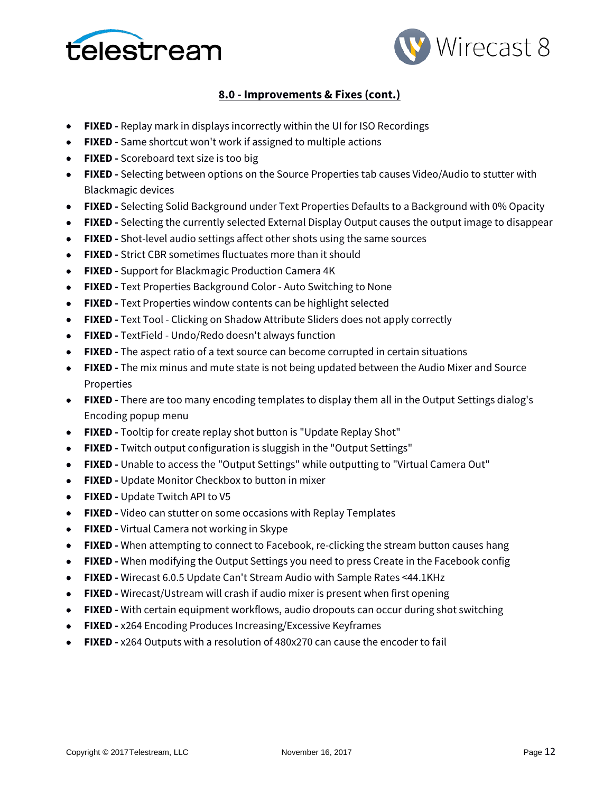



- **FIXED -** Replay mark in displays incorrectly within the UI for ISO Recordings
- **FIXED -** Same shortcut won't work if assigned to multiple actions
- **FIXED -** Scoreboard text size is too big
- **FIXED -** Selecting between options on the Source Properties tab causes Video/Audio to stutter with Blackmagic devices
- **FIXED -** Selecting Solid Background under Text Properties Defaults to a Background with 0% Opacity
- **FIXED -** Selecting the currently selected External Display Output causes the output image to disappear
- **FIXED -** Shot-level audio settings affect other shots using the same sources
- **FIXED -** Strict CBR sometimes fluctuates more than it should
- **FIXED -** Support for Blackmagic Production Camera 4K
- **FIXED -** Text Properties Background Color Auto Switching to None
- **FIXED -** Text Properties window contents can be highlight selected
- **FIXED -** Text Tool Clicking on Shadow Attribute Sliders does not apply correctly
- **FIXED -** TextField Undo/Redo doesn't always function
- **FIXED -** The aspect ratio of a text source can become corrupted in certain situations
- **FIXED -** The mix minus and mute state is not being updated between the Audio Mixer and Source Properties
- **FIXED -** There are too many encoding templates to display them all in the Output Settings dialog's Encoding popup menu
- **FIXED -** Tooltip for create replay shot button is "Update Replay Shot"
- **FIXED -** Twitch output configuration is sluggish in the "Output Settings"
- **FIXED -** Unable to access the "Output Settings" while outputting to "Virtual Camera Out"
- **FIXED -** Update Monitor Checkbox to button in mixer
- **FIXED -** Update Twitch API to V5
- **FIXED -** Video can stutter on some occasions with Replay Templates
- **FIXED -** Virtual Camera not working in Skype
- **FIXED -** When attempting to connect to Facebook, re-clicking the stream button causes hang
- **FIXED -** When modifying the Output Settings you need to press Create in the Facebook config
- **FIXED -** Wirecast 6.0.5 Update Can't Stream Audio with Sample Rates <44.1KHz
- **FIXED -** Wirecast/Ustream will crash if audio mixer is present when first opening
- **FIXED -** With certain equipment workflows, audio dropouts can occur during shot switching
- **FIXED -** x264 Encoding Produces Increasing/Excessive Keyframes
- **FIXED -** x264 Outputs with a resolution of 480x270 can cause the encoder to fail